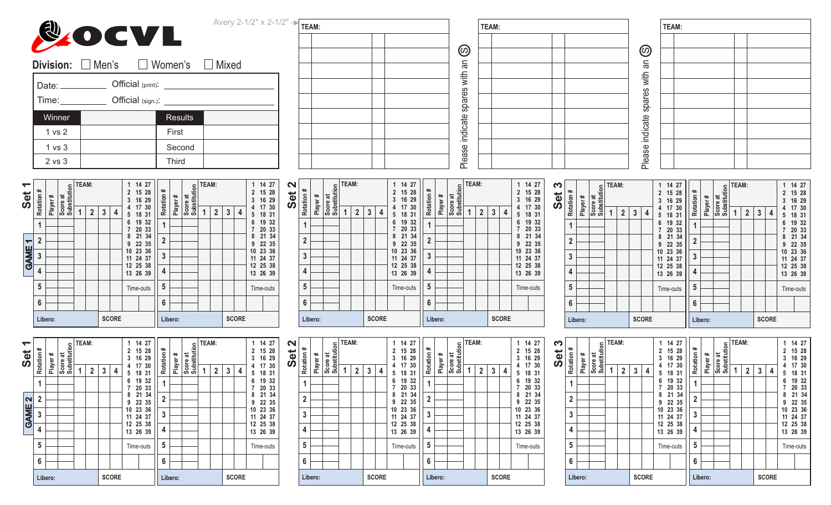|        | Avery 2-1/2" $\times$ 2-1/2" $\rightarrow \sqrt{\text{TEM:}}$ |                            | TEAM: |                      | TEAM: |
|--------|---------------------------------------------------------------|----------------------------|-------|----------------------|-------|
|        | <b>COCVL</b>                                                  |                            |       |                      |       |
|        |                                                               | $\circledcirc$             |       | $\circledcirc$       |       |
|        | <b>Division:</b> □ Men's □ Women's □ Mixed                    | ⊆<br>ത                     |       | m                    |       |
|        | Official (print): <u>____________________</u>                 | with                       |       | €                    |       |
| Date:  |                                                               |                            |       |                      |       |
| Time:  |                                                               | உ<br>spal                  |       | ã<br>Sp <sub>i</sub> |       |
| Winner | Results                                                       | ஆ<br>$\sigma$              |       | ate                  |       |
| 1 vs 2 | First                                                         | $\frac{3}{5}$<br>⊂         |       | ت<br><del>ت</del>    |       |
| 1 vs 3 | Second                                                        | Φ<br>ဖာ                    |       | മ<br>ဖ               |       |
| 2 vs 3 | Third                                                         | ᠊ᢐ<br>$\frac{1}{\sqrt{2}}$ |       | ãe)                  |       |
|        |                                                               |                            |       |                      |       |

| ↽<br>Set                 | Rotation #     | #       | Substitution<br>ಕ | <b>EAM:</b> |   |              | 1<br>2<br>3 | 14 27<br>15<br>28<br>16<br>29 | Rotation #     | Player# | Score at<br>Substitution | ILAM: |   |   |              | 1<br>2<br>3     | 14<br>27<br>15<br>28<br>16<br>29 | $\mathbf{\Omega}$<br>Set | Rotation #     | \$ |
|--------------------------|----------------|---------|-------------------|-------------|---|--------------|-------------|-------------------------------|----------------|---------|--------------------------|-------|---|---|--------------|-----------------|----------------------------------|--------------------------|----------------|----|
|                          |                | Player  | Score             | 2           | 3 | 4            | 4<br>5      | 17 30<br>18 31                |                |         |                          |       | 2 | 3 | 4            | 4<br>5          | 17<br>30<br>18<br>31             |                          |                | á  |
|                          | 1              |         |                   |             |   |              | 6           | 19<br>32<br>20<br>33          | 1              |         |                          |       |   |   |              | 6               | 19<br>32<br>20<br>33             |                          | 1              |    |
| $\overline{\phantom{0}}$ | $\overline{2}$ |         |                   |             |   |              | 8<br>9      | 21<br>34<br>22 35             | $\overline{2}$ |         |                          |       |   |   |              | 8<br>9          | 21<br>34<br>22 35                |                          | $\overline{2}$ |    |
| <b>GAME</b>              | 3              |         |                   |             |   |              | 10<br>11    | 23 36<br>24 37                | 3              |         |                          |       |   |   |              | 10<br>11        | 23 36<br>24 37                   |                          | 3              |    |
|                          | 4              |         |                   |             |   |              | 12<br>13    | 25 38<br>26 39                | 4              |         |                          |       |   |   |              | 12 <sup>2</sup> | 25 38<br>13 26 39                |                          | 4              |    |
|                          | 5              |         |                   |             |   |              |             | Time-outs                     | 5              |         |                          |       |   |   |              |                 | Time-outs                        |                          | 5              |    |
|                          | 6              |         |                   |             |   |              |             |                               | 6              |         |                          |       |   |   |              |                 |                                  |                          | 6              |    |
|                          |                | Libero: |                   |             |   | <b>SCORE</b> |             |                               |                | Libero: |                          |       |   |   | <b>SCORE</b> |                 |                                  |                          | Libero         |    |

| TEAM:               |              |              | $\overline{2}$ | 14 27<br>15 28<br>16 29 | $\ast$   | #       | Score at<br>Substitution | <b>TEAM:</b> |                |   |              | $\overline{2}$<br>3   | 14 27<br>15 28<br>16 29 | $\sim$<br>⊷<br>$\omega$<br>Ŏ, | #<br>Rotation  |         | Score at<br>Substitution | TEAM: |                |              |   | 3      | 14 27<br>2 15 28<br>16 29 | Rotation #     |         | Score at<br>Substitutior | $=$ TEAM: |                |   |              | $\overline{2}$<br>3 | 14 27<br>15 28<br>16 29 |  |
|---------------------|--------------|--------------|----------------|-------------------------|----------|---------|--------------------------|--------------|----------------|---|--------------|-----------------------|-------------------------|-------------------------------|----------------|---------|--------------------------|-------|----------------|--------------|---|--------|---------------------------|----------------|---------|--------------------------|-----------|----------------|---|--------------|---------------------|-------------------------|--|
| 1<br>$\overline{2}$ | $\mathbf{3}$ | 4            | 5              | 17 30<br>18 31          | Rotation | Player  |                          |              | $\overline{2}$ | 3 | 4            | 5                     | 17 30<br>18 31          |                               |                | Player# |                          | 1     | $\overline{2}$ | 3            | 4 | 5      | 17 30<br>18 31            |                | Player# |                          |           | $\overline{2}$ | 3 | 4            | 4<br>5              | 17 30<br>18 31          |  |
|                     |              |              | 6              | 19 32<br>20 33          |          |         |                          |              |                |   |              | 6                     | 19 32<br>20 33          |                               |                |         |                          |       |                |              |   | 6      | 19 32<br>20 33            |                |         |                          |           |                |   |              | 6                   | 19 32<br>20 33          |  |
|                     |              |              | 8<br>9         | 21<br>34<br>22 35       |          |         |                          |              |                |   |              | 8<br>9                | 21 34<br>22 35          |                               | $\overline{2}$ |         |                          |       |                |              |   | 8<br>9 | 21 34<br>22 35            | $\overline{2}$ |         |                          |           |                |   |              | 8<br>9              | 21 34<br>22 35          |  |
|                     |              |              |                | 10 23 36<br>11 24 37    | 3        |         |                          |              |                |   |              | 10 <sup>°</sup><br>11 | 23 36<br>24 37          |                               | 3              |         |                          |       |                |              |   | 10     | 23 36<br>11 24 37         | 3              |         |                          |           |                |   |              | 10 <sup>°</sup>     | 23 36<br>11 24 37       |  |
|                     |              |              |                | 12 25 38<br>13 26 39    | 4        |         |                          |              |                |   |              |                       | 12 25 38<br>13 26 39    |                               | 4              |         |                          |       |                |              |   |        | 12 25 38<br>13 26 39      | 4              |         |                          |           |                |   |              |                     | 12 25 38<br>13 26 39    |  |
|                     |              |              |                | Time-outs               | 5        |         |                          |              |                |   |              |                       | Time-outs               |                               | 5              |         |                          |       |                |              |   |        | Time-outs                 | 5              |         |                          |           |                |   |              |                     | Time-outs               |  |
|                     |              |              |                |                         | 6        |         |                          |              |                |   |              |                       |                         |                               | 6              |         |                          |       |                |              |   |        |                           | 6              |         |                          |           |                |   |              |                     |                         |  |
|                     |              | <b>SCORE</b> |                |                         |          | Libero: |                          |              |                |   | <b>SCORE</b> |                       |                         |                               |                | Libero: |                          |       |                | <b>SCORE</b> |   |        |                           |                | Libero: |                          |           |                |   | <b>SCORE</b> |                     |                         |  |

| S<br>Set<br>S | Rotation #     |         | Score at<br>Substitution | TEAM: |                |   |              | 1<br>2<br>3           | 16       | 14 27<br>15 28<br>29 | Rotation #     | #       | Score at<br>Substitution | TEAM: |                |   |              | 1<br>2<br>3 | 16        | 14 27<br>15 28<br>29 |
|---------------|----------------|---------|--------------------------|-------|----------------|---|--------------|-----------------------|----------|----------------------|----------------|---------|--------------------------|-------|----------------|---|--------------|-------------|-----------|----------------------|
|               |                | Player# |                          | 1     | $\overline{2}$ | 3 | 4            | 4<br>5                |          | 17 30<br>18 31       |                | Player  |                          | 1     | $\overline{2}$ | 3 | 4            | 4<br>5      | 17        | 30<br>18 31          |
|               | 1              |         |                          |       |                |   |              | 6<br>7                | 19<br>20 | 32<br>33             | 1              |         |                          |       |                |   |              | 6           | 20        | 19 32<br>33          |
|               | $\overline{2}$ |         |                          |       |                |   |              | 8<br>9                | 21       | 34<br>22 35          | $\overline{2}$ |         |                          |       |                |   |              | 8<br>9      | 21        | 34<br>22 35          |
|               | 3              |         |                          |       |                |   |              | 10<br>11              | 23       | 36<br>24 37          | 3              |         |                          |       |                |   |              | 10<br>11    |           | 23 36<br>24 37       |
|               | 4              |         |                          |       |                |   |              | 12 <sup>2</sup><br>13 |          | 25 38<br>26 39       | 4              |         |                          |       |                |   |              | 12<br>13    | 26 39     | 25 38                |
|               | 5              |         |                          |       |                |   |              |                       |          | Time-outs            | 5              |         |                          |       |                |   |              |             | Time-outs |                      |
|               | 6              |         |                          |       |                |   |              |                       |          |                      | 6              |         |                          |       |                |   |              |             |           |                      |
|               |                | Libero: |                          |       |                |   | <b>SCORE</b> |                       |          |                      |                | Libero: |                          |       |                |   | <b>SCORE</b> |             |           |                      |

| ᅮ<br><b>Set</b>         | Rotation #     | Player# | Score at<br>Substitution | TEAM: |                |   |              | 2<br>3   | 27<br>14<br>28<br>15<br>29<br>16 | Rotation #     | Player# | Score at<br>Substitution | <b>TEAM:</b> |                |   |              | 2<br>3   | 27<br>14<br>28<br>15<br>16<br>29 | $\mathbf{\Omega}$<br>đ<br>Ŵ | Rotation #     |  |
|-------------------------|----------------|---------|--------------------------|-------|----------------|---|--------------|----------|----------------------------------|----------------|---------|--------------------------|--------------|----------------|---|--------------|----------|----------------------------------|-----------------------------|----------------|--|
|                         |                |         |                          |       | $\overline{2}$ | 3 | 4            | 4<br>5   | 30<br>17<br>18 31                |                |         |                          |              | $\overline{2}$ | 3 | 4            | 4<br>5   | 17<br>30<br>18<br>31             |                             |                |  |
|                         | 1              |         |                          |       |                |   |              | 6        | 32<br>19<br>20<br>33             | 1              |         |                          |              |                |   |              | 6        | 19<br>32<br>20<br>33             |                             |                |  |
| $\overline{\mathbf{N}}$ | $\overline{2}$ |         |                          |       |                |   |              | 8<br>9   | 21<br>34<br>22 35                | $\overline{2}$ |         |                          |              |                |   |              | 8<br>9   | 21<br>34<br>35<br>22             |                             | $\overline{2}$ |  |
| <b>GAME</b>             | 3              |         |                          |       |                |   |              | 10<br>11 | 23 36<br>24 37                   | 3              |         |                          |              |                |   |              | 10<br>11 | 23 36<br>24 37                   |                             | 3              |  |
|                         | 4              |         |                          |       |                |   |              | 12<br>13 | 25 38<br>26 39                   | 4              |         |                          |              |                |   |              | 12<br>13 | 25<br>38<br>26 39                |                             | 4              |  |
|                         | 5              |         |                          |       |                |   |              |          | Time-outs                        | 5              |         |                          |              |                |   |              |          | Time-outs                        |                             | 5              |  |
|                         | 6              |         |                          |       |                |   |              |          |                                  | 6              |         |                          |              |                |   |              |          |                                  |                             | 6              |  |
|                         |                | Libero: |                          |       |                |   | <b>SCORE</b> |          |                                  |                | Libero: |                          |              |                |   | <b>SCORE</b> |          |                                  |                             | Libe           |  |

| $\mathbf{\Omega}$<br>Set | Rotation #     | Player# | Score at<br>Substitution | TEAM: |                |   |              | 2<br>3   | 14 27<br>15<br>16    | 28<br>29 | Rotation #   | Player# | Substitution<br>ಕ | TEAM: |                |   |              | 2<br>3   | 14 27<br>15<br>16 29 | 28       | က<br>Set |  |
|--------------------------|----------------|---------|--------------------------|-------|----------------|---|--------------|----------|----------------------|----------|--------------|---------|-------------------|-------|----------------|---|--------------|----------|----------------------|----------|----------|--|
|                          |                |         |                          | 1     | $\overline{2}$ | 3 | 4            | 4<br>5   | 17<br>18             | 30<br>31 |              |         | Score             | 1     | $\overline{2}$ | 3 | 4            | 4<br>5   | 17 30<br>18 31       |          |          |  |
|                          | 1              |         |                          |       |                |   |              | 6        | 19<br>20             | 32<br>33 | 1            |         |                   |       |                |   |              | 6        | 19<br>20             | 32<br>33 |          |  |
|                          | $\overline{2}$ |         |                          |       |                |   |              | 8<br>9   | 21<br>22 35          | 34       | $\mathbf{2}$ |         |                   |       |                |   |              | 8<br>9   | 21<br>22 35          | 34       |          |  |
|                          | 3              |         |                          |       |                |   |              | 10<br>11 | 23<br>24 37          | 36       | 3            |         |                   |       |                |   |              | 10<br>11 | 23 36<br>24 37       |          |          |  |
|                          | 4              |         |                          |       |                |   |              |          | 12 25 38<br>13 26 39 |          | 4            |         |                   |       |                |   |              |          | 12 25 38<br>13 26 39 |          |          |  |
|                          | 5              |         |                          |       |                |   |              |          | Time-outs            |          | 5            |         |                   |       |                |   |              |          | Time-outs            |          |          |  |
|                          | 6              |         |                          |       |                |   |              |          |                      |          | 6            |         |                   |       |                |   |              |          |                      |          |          |  |
|                          |                | Libero: |                          |       |                |   | <b>SCORE</b> |          |                      |          |              | Libero: |                   |       |                |   | <b>SCORE</b> |          |                      |          |          |  |

| Ć<br>しりりつ | #<br>Rotation  | #       | Score at<br>Substitution | TEAM: |   |   |              | 2<br>3   | 15<br>16 | 14 27<br>28<br>29    | Rotation #     | Player# | Substitution<br>ಕ | TEAM: |                |   |              | 1<br>2<br>3 | 14 27<br>15 28<br>16 29 |          |
|-----------|----------------|---------|--------------------------|-------|---|---|--------------|----------|----------|----------------------|----------------|---------|-------------------|-------|----------------|---|--------------|-------------|-------------------------|----------|
|           |                | Player? |                          | 1     | 2 | 3 | 4            | 4<br>5   | 17<br>18 | 30<br>31             |                |         | Score             | 1     | $\overline{2}$ | 3 | 4            | 4<br>5      | 17<br>18 31             | 30       |
|           | 1              |         |                          |       |   |   |              | 6        | 19<br>20 | 32<br>33             | 1              |         |                   |       |                |   |              | 6<br>7      | 19<br>20                | 32<br>33 |
|           | $\overline{2}$ |         |                          |       |   |   |              | 8<br>9   | 21       | 34<br>22 35          | $\overline{2}$ |         |                   |       |                |   |              | 8<br>9      | 21<br>22 35             | 34       |
|           | 3              |         |                          |       |   |   |              | 10<br>11 |          | 23 36<br>24 37       | 3              |         |                   |       |                |   |              | 10<br>11    | 23 36<br>24 37          |          |
|           | 4              |         |                          |       |   |   |              |          |          | 12 25 38<br>13 26 39 | 4              |         |                   |       |                |   |              | 12<br>13    | 25 38<br>26 39          |          |
|           | 5              |         |                          |       |   |   |              |          |          | Time-outs            | 5              |         |                   |       |                |   |              |             | Time-outs               |          |
|           | 6              |         |                          |       |   |   |              |          |          |                      | 6              |         |                   |       |                |   |              |             |                         |          |
|           |                | Libero: |                          |       |   |   | <b>SCORE</b> |          |          |                      |                | Libero: |                   |       |                |   | <b>SCORE</b> |             |                         |          |